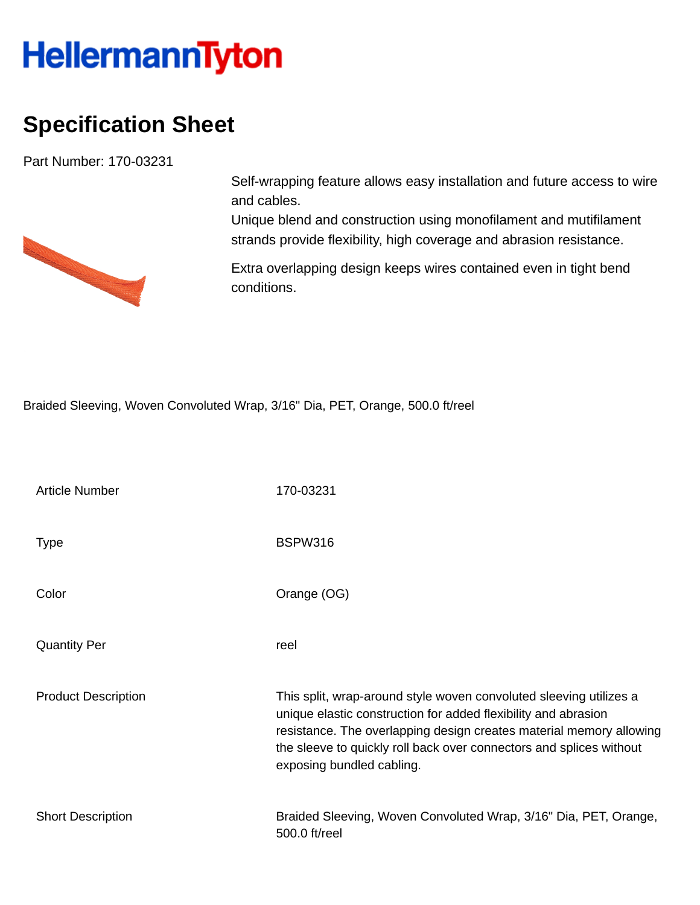## **HellermannTyton**

## **Specification Sheet**

Part Number: 170-03231



Self-wrapping feature allows easy installation and future access to wire and cables.

Unique blend and construction using monofilament and mutifilament strands provide flexibility, high coverage and abrasion resistance.

Extra overlapping design keeps wires contained even in tight bend conditions.

Braided Sleeving, Woven Convoluted Wrap, 3/16" Dia, PET, Orange, 500.0 ft/reel

| <b>Article Number</b>      | 170-03231                                                                                                                                                                                                                                                                                                       |
|----------------------------|-----------------------------------------------------------------------------------------------------------------------------------------------------------------------------------------------------------------------------------------------------------------------------------------------------------------|
| <b>Type</b>                | BSPW316                                                                                                                                                                                                                                                                                                         |
| Color                      | Orange (OG)                                                                                                                                                                                                                                                                                                     |
| <b>Quantity Per</b>        | reel                                                                                                                                                                                                                                                                                                            |
| <b>Product Description</b> | This split, wrap-around style woven convoluted sleeving utilizes a<br>unique elastic construction for added flexibility and abrasion<br>resistance. The overlapping design creates material memory allowing<br>the sleeve to quickly roll back over connectors and splices without<br>exposing bundled cabling. |
| <b>Short Description</b>   | Braided Sleeving, Woven Convoluted Wrap, 3/16" Dia, PET, Orange,<br>500.0 ft/reel                                                                                                                                                                                                                               |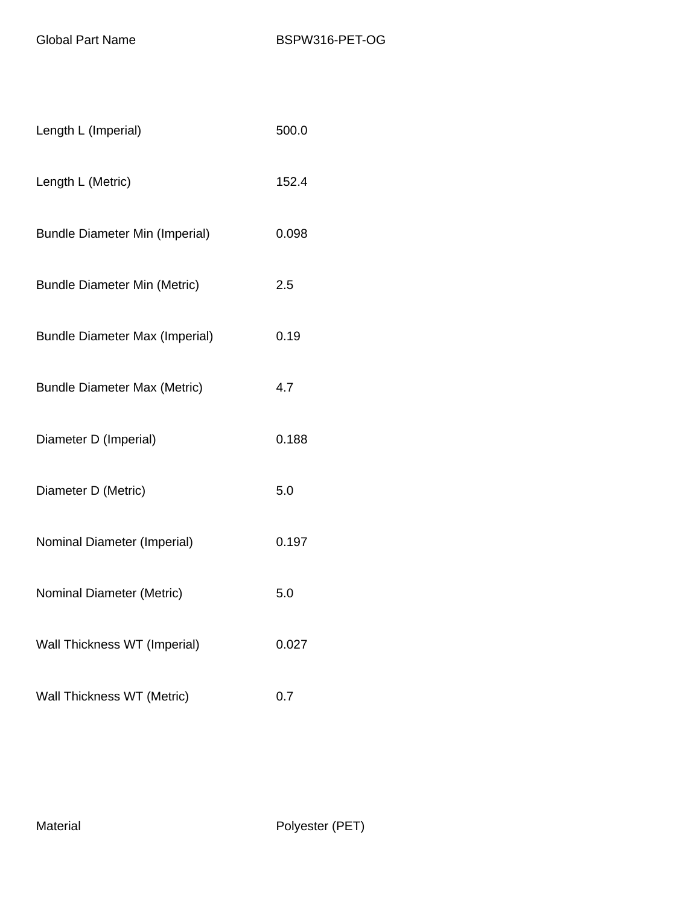| Length L (Imperial)                   | 500.0 |
|---------------------------------------|-------|
| Length L (Metric)                     | 152.4 |
| <b>Bundle Diameter Min (Imperial)</b> | 0.098 |
| <b>Bundle Diameter Min (Metric)</b>   | 2.5   |
| <b>Bundle Diameter Max (Imperial)</b> | 0.19  |
| <b>Bundle Diameter Max (Metric)</b>   | 4.7   |
| Diameter D (Imperial)                 | 0.188 |
| Diameter D (Metric)                   | 5.0   |
| Nominal Diameter (Imperial)           | 0.197 |
| Nominal Diameter (Metric)             | 5.0   |
| Wall Thickness WT (Imperial)          | 0.027 |
| Wall Thickness WT (Metric)            | 0.7   |